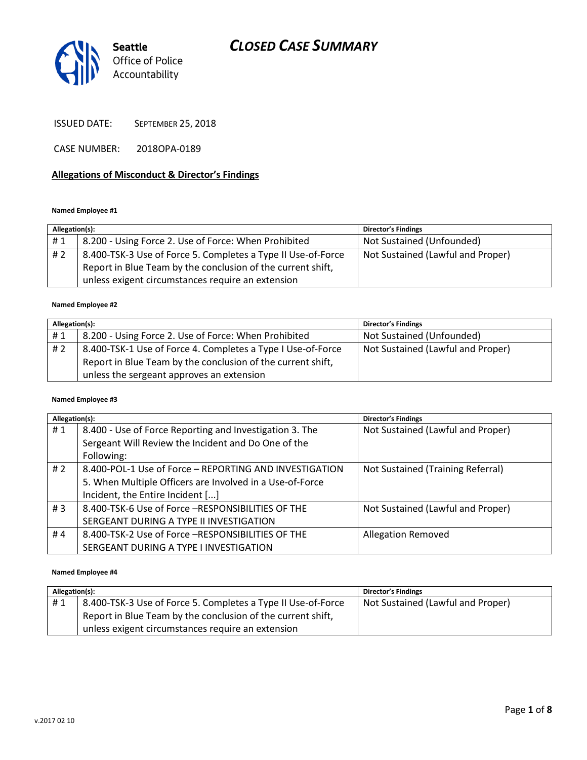# *CLOSED CASE SUMMARY*



ISSUED DATE: SEPTEMBER 25, 2018

CASE NUMBER: 2018OPA-0189

### **Allegations of Misconduct & Director's Findings**

#### **Named Employee #1**

| Allegation(s): |                                                              | <b>Director's Findings</b>        |
|----------------|--------------------------------------------------------------|-----------------------------------|
| #1             | 8.200 - Using Force 2. Use of Force: When Prohibited         | Not Sustained (Unfounded)         |
| #2             | 8.400-TSK-3 Use of Force 5. Completes a Type II Use-of-Force | Not Sustained (Lawful and Proper) |
|                | Report in Blue Team by the conclusion of the current shift,  |                                   |
|                | unless exigent circumstances require an extension            |                                   |

#### **Named Employee #2**

| Allegation(s): |                                                             | <b>Director's Findings</b>        |
|----------------|-------------------------------------------------------------|-----------------------------------|
| #1             | 8.200 - Using Force 2. Use of Force: When Prohibited        | Not Sustained (Unfounded)         |
| #2             | 8.400-TSK-1 Use of Force 4. Completes a Type I Use-of-Force | Not Sustained (Lawful and Proper) |
|                | Report in Blue Team by the conclusion of the current shift, |                                   |
|                | unless the sergeant approves an extension                   |                                   |

#### **Named Employee #3**

| Allegation(s): |                                                          | <b>Director's Findings</b>        |
|----------------|----------------------------------------------------------|-----------------------------------|
| #1             | 8.400 - Use of Force Reporting and Investigation 3. The  | Not Sustained (Lawful and Proper) |
|                | Sergeant Will Review the Incident and Do One of the      |                                   |
|                | Following:                                               |                                   |
| #2             | 8.400-POL-1 Use of Force - REPORTING AND INVESTIGATION   | Not Sustained (Training Referral) |
|                | 5. When Multiple Officers are Involved in a Use-of-Force |                                   |
|                | Incident, the Entire Incident []                         |                                   |
| # $3$          | 8.400-TSK-6 Use of Force -RESPONSIBILITIES OF THE        | Not Sustained (Lawful and Proper) |
|                | SERGEANT DURING A TYPE II INVESTIGATION                  |                                   |
| #4             | 8.400-TSK-2 Use of Force -RESPONSIBILITIES OF THE        | <b>Allegation Removed</b>         |
|                | SERGEANT DURING A TYPE I INVESTIGATION                   |                                   |

#### **Named Employee #4**

| Allegation(s): |                                                              | <b>Director's Findings</b>        |
|----------------|--------------------------------------------------------------|-----------------------------------|
| #1             | 8.400-TSK-3 Use of Force 5. Completes a Type II Use-of-Force | Not Sustained (Lawful and Proper) |
|                | Report in Blue Team by the conclusion of the current shift,  |                                   |
|                | unless exigent circumstances require an extension            |                                   |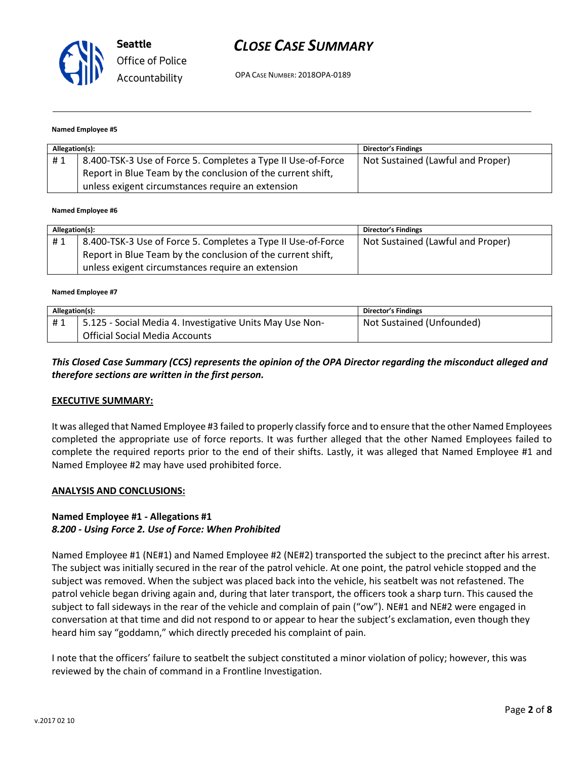

# *CLOSE CASE SUMMARY*

OPA CASE NUMBER: 2018OPA-0189

#### **Named Employee #5**

| Allegation(s): |                                                              | <b>Director's Findings</b>        |
|----------------|--------------------------------------------------------------|-----------------------------------|
| #1             | 8.400-TSK-3 Use of Force 5. Completes a Type II Use-of-Force | Not Sustained (Lawful and Proper) |
|                | Report in Blue Team by the conclusion of the current shift,  |                                   |
|                | unless exigent circumstances require an extension            |                                   |

#### **Named Employee #6**

| Allegation(s): |                                                              | <b>Director's Findings</b>        |
|----------------|--------------------------------------------------------------|-----------------------------------|
| #1             | 8.400-TSK-3 Use of Force 5. Completes a Type II Use-of-Force | Not Sustained (Lawful and Proper) |
|                | Report in Blue Team by the conclusion of the current shift,  |                                   |
|                | unless exigent circumstances require an extension            |                                   |

#### **Named Employee #7**

| Allegation(s): |                                                                                                   | <b>Director's Findings</b> |
|----------------|---------------------------------------------------------------------------------------------------|----------------------------|
| #1             | 5.125 - Social Media 4. Investigative Units May Use Non-<br><b>Official Social Media Accounts</b> | Not Sustained (Unfounded)  |

### *This Closed Case Summary (CCS) represents the opinion of the OPA Director regarding the misconduct alleged and therefore sections are written in the first person.*

#### **EXECUTIVE SUMMARY:**

It was alleged that Named Employee #3 failed to properly classify force and to ensure that the other Named Employees completed the appropriate use of force reports. It was further alleged that the other Named Employees failed to complete the required reports prior to the end of their shifts. Lastly, it was alleged that Named Employee #1 and Named Employee #2 may have used prohibited force.

#### **ANALYSIS AND CONCLUSIONS:**

# **Named Employee #1 - Allegations #1**

#### *8.200 - Using Force 2. Use of Force: When Prohibited*

Named Employee #1 (NE#1) and Named Employee #2 (NE#2) transported the subject to the precinct after his arrest. The subject was initially secured in the rear of the patrol vehicle. At one point, the patrol vehicle stopped and the subject was removed. When the subject was placed back into the vehicle, his seatbelt was not refastened. The patrol vehicle began driving again and, during that later transport, the officers took a sharp turn. This caused the subject to fall sideways in the rear of the vehicle and complain of pain ("ow"). NE#1 and NE#2 were engaged in conversation at that time and did not respond to or appear to hear the subject's exclamation, even though they heard him say "goddamn," which directly preceded his complaint of pain.

I note that the officers' failure to seatbelt the subject constituted a minor violation of policy; however, this was reviewed by the chain of command in a Frontline Investigation.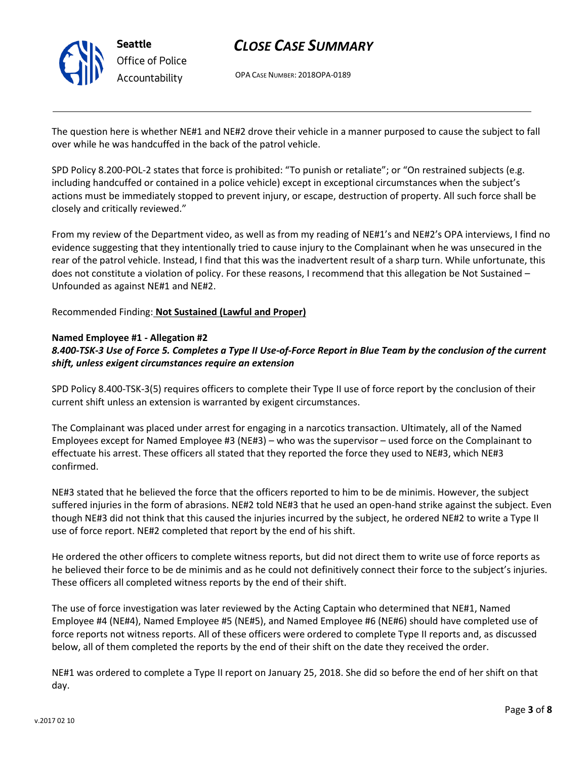

# *CLOSE CASE SUMMARY*

OPA CASE NUMBER: 2018OPA-0189

The question here is whether NE#1 and NE#2 drove their vehicle in a manner purposed to cause the subject to fall over while he was handcuffed in the back of the patrol vehicle.

SPD Policy 8.200-POL-2 states that force is prohibited: "To punish or retaliate"; or "On restrained subjects (e.g. including handcuffed or contained in a police vehicle) except in exceptional circumstances when the subject's actions must be immediately stopped to prevent injury, or escape, destruction of property. All such force shall be closely and critically reviewed."

From my review of the Department video, as well as from my reading of NE#1's and NE#2's OPA interviews, I find no evidence suggesting that they intentionally tried to cause injury to the Complainant when he was unsecured in the rear of the patrol vehicle. Instead, I find that this was the inadvertent result of a sharp turn. While unfortunate, this does not constitute a violation of policy. For these reasons, I recommend that this allegation be Not Sustained – Unfounded as against NE#1 and NE#2.

Recommended Finding: **Not Sustained (Lawful and Proper)**

### **Named Employee #1 - Allegation #2**

## *8.400-TSK-3 Use of Force 5. Completes a Type II Use-of-Force Report in Blue Team by the conclusion of the current shift, unless exigent circumstances require an extension*

SPD Policy 8.400-TSK-3(5) requires officers to complete their Type II use of force report by the conclusion of their current shift unless an extension is warranted by exigent circumstances.

The Complainant was placed under arrest for engaging in a narcotics transaction. Ultimately, all of the Named Employees except for Named Employee #3 (NE#3) – who was the supervisor – used force on the Complainant to effectuate his arrest. These officers all stated that they reported the force they used to NE#3, which NE#3 confirmed.

NE#3 stated that he believed the force that the officers reported to him to be de minimis. However, the subject suffered injuries in the form of abrasions. NE#2 told NE#3 that he used an open-hand strike against the subject. Even though NE#3 did not think that this caused the injuries incurred by the subject, he ordered NE#2 to write a Type II use of force report. NE#2 completed that report by the end of his shift.

He ordered the other officers to complete witness reports, but did not direct them to write use of force reports as he believed their force to be de minimis and as he could not definitively connect their force to the subject's injuries. These officers all completed witness reports by the end of their shift.

The use of force investigation was later reviewed by the Acting Captain who determined that NE#1, Named Employee #4 (NE#4), Named Employee #5 (NE#5), and Named Employee #6 (NE#6) should have completed use of force reports not witness reports. All of these officers were ordered to complete Type II reports and, as discussed below, all of them completed the reports by the end of their shift on the date they received the order.

NE#1 was ordered to complete a Type II report on January 25, 2018. She did so before the end of her shift on that day.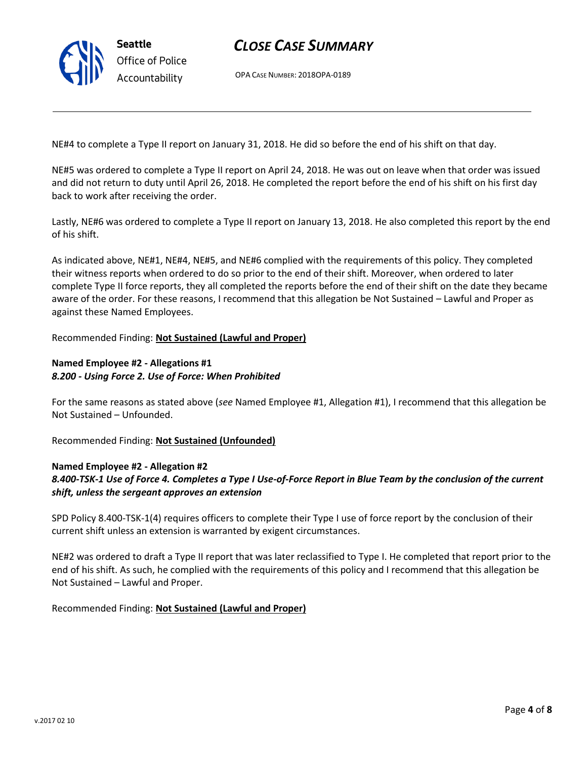

v.2017 02 10

# *CLOSE CASE SUMMARY*

OPA CASE NUMBER: 2018OPA-0189

NE#4 to complete a Type II report on January 31, 2018. He did so before the end of his shift on that day.

NE#5 was ordered to complete a Type II report on April 24, 2018. He was out on leave when that order was issued and did not return to duty until April 26, 2018. He completed the report before the end of his shift on his first day back to work after receiving the order.

Lastly, NE#6 was ordered to complete a Type II report on January 13, 2018. He also completed this report by the end of his shift.

As indicated above, NE#1, NE#4, NE#5, and NE#6 complied with the requirements of this policy. They completed their witness reports when ordered to do so prior to the end of their shift. Moreover, when ordered to later complete Type II force reports, they all completed the reports before the end of their shift on the date they became aware of the order. For these reasons, I recommend that this allegation be Not Sustained – Lawful and Proper as against these Named Employees.

Recommended Finding: **Not Sustained (Lawful and Proper)**

## **Named Employee #2 - Allegations #1** *8.200 - Using Force 2. Use of Force: When Prohibited*

For the same reasons as stated above (*see* Named Employee #1, Allegation #1), I recommend that this allegation be Not Sustained – Unfounded.

Recommended Finding: **Not Sustained (Unfounded)**

### **Named Employee #2 - Allegation #2**

**Seattle**

*Office of Police Accountability*

# *8.400-TSK-1 Use of Force 4. Completes a Type I Use-of-Force Report in Blue Team by the conclusion of the current shift, unless the sergeant approves an extension*

SPD Policy 8.400-TSK-1(4) requires officers to complete their Type I use of force report by the conclusion of their current shift unless an extension is warranted by exigent circumstances.

NE#2 was ordered to draft a Type II report that was later reclassified to Type I. He completed that report prior to the end of his shift. As such, he complied with the requirements of this policy and I recommend that this allegation be Not Sustained – Lawful and Proper.

Recommended Finding: **Not Sustained (Lawful and Proper)**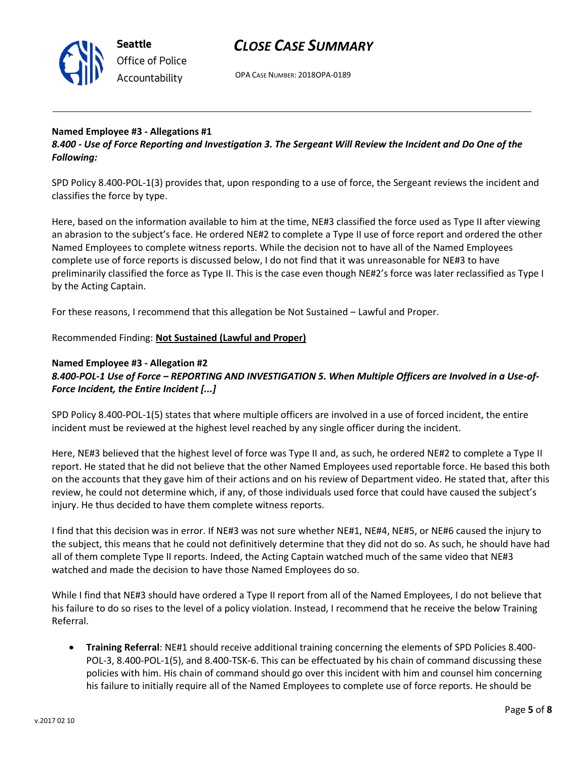

# *CLOSE CASE SUMMARY*

OPA CASE NUMBER: 2018OPA-0189

## **Named Employee #3 - Allegations #1**

*8.400 - Use of Force Reporting and Investigation 3. The Sergeant Will Review the Incident and Do One of the Following:*

SPD Policy 8.400-POL-1(3) provides that, upon responding to a use of force, the Sergeant reviews the incident and classifies the force by type.

Here, based on the information available to him at the time, NE#3 classified the force used as Type II after viewing an abrasion to the subject's face. He ordered NE#2 to complete a Type II use of force report and ordered the other Named Employees to complete witness reports. While the decision not to have all of the Named Employees complete use of force reports is discussed below, I do not find that it was unreasonable for NE#3 to have preliminarily classified the force as Type II. This is the case even though NE#2's force was later reclassified as Type I by the Acting Captain.

For these reasons, I recommend that this allegation be Not Sustained – Lawful and Proper.

## Recommended Finding: **Not Sustained (Lawful and Proper)**

## **Named Employee #3 - Allegation #2** *8.400-POL-1 Use of Force – REPORTING AND INVESTIGATION 5. When Multiple Officers are Involved in a Use-of-Force Incident, the Entire Incident [...]*

SPD Policy 8.400-POL-1(5) states that where multiple officers are involved in a use of forced incident, the entire incident must be reviewed at the highest level reached by any single officer during the incident.

Here, NE#3 believed that the highest level of force was Type II and, as such, he ordered NE#2 to complete a Type II report. He stated that he did not believe that the other Named Employees used reportable force. He based this both on the accounts that they gave him of their actions and on his review of Department video. He stated that, after this review, he could not determine which, if any, of those individuals used force that could have caused the subject's injury. He thus decided to have them complete witness reports.

I find that this decision was in error. If NE#3 was not sure whether NE#1, NE#4, NE#5, or NE#6 caused the injury to the subject, this means that he could not definitively determine that they did not do so. As such, he should have had all of them complete Type II reports. Indeed, the Acting Captain watched much of the same video that NE#3 watched and made the decision to have those Named Employees do so.

While I find that NE#3 should have ordered a Type II report from all of the Named Employees, I do not believe that his failure to do so rises to the level of a policy violation. Instead, I recommend that he receive the below Training Referral.

 **Training Referral**: NE#1 should receive additional training concerning the elements of SPD Policies 8.400- POL-3, 8.400-POL-1(5), and 8.400-TSK-6. This can be effectuated by his chain of command discussing these policies with him. His chain of command should go over this incident with him and counsel him concerning his failure to initially require all of the Named Employees to complete use of force reports. He should be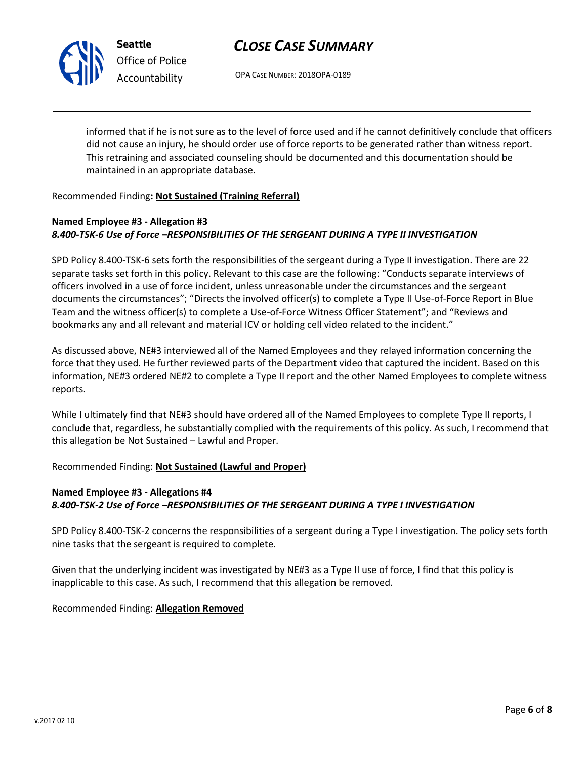

**Seattle** *Office of Police Accountability*

# *CLOSE CASE SUMMARY*

OPA CASE NUMBER: 2018OPA-0189

informed that if he is not sure as to the level of force used and if he cannot definitively conclude that officers did not cause an injury, he should order use of force reports to be generated rather than witness report. This retraining and associated counseling should be documented and this documentation should be maintained in an appropriate database.

## Recommended Finding**: Not Sustained (Training Referral)**

## **Named Employee #3 - Allegation #3** *8.400-TSK-6 Use of Force –RESPONSIBILITIES OF THE SERGEANT DURING A TYPE II INVESTIGATION*

SPD Policy 8.400-TSK-6 sets forth the responsibilities of the sergeant during a Type II investigation. There are 22 separate tasks set forth in this policy. Relevant to this case are the following: "Conducts separate interviews of officers involved in a use of force incident, unless unreasonable under the circumstances and the sergeant documents the circumstances"; "Directs the involved officer(s) to complete a Type II Use-of-Force Report in Blue Team and the witness officer(s) to complete a Use-of-Force Witness Officer Statement"; and "Reviews and bookmarks any and all relevant and material ICV or holding cell video related to the incident."

As discussed above, NE#3 interviewed all of the Named Employees and they relayed information concerning the force that they used. He further reviewed parts of the Department video that captured the incident. Based on this information, NE#3 ordered NE#2 to complete a Type II report and the other Named Employees to complete witness reports.

While I ultimately find that NE#3 should have ordered all of the Named Employees to complete Type II reports, I conclude that, regardless, he substantially complied with the requirements of this policy. As such, I recommend that this allegation be Not Sustained – Lawful and Proper.

Recommended Finding: **Not Sustained (Lawful and Proper)**

# **Named Employee #3 - Allegations #4** *8.400-TSK-2 Use of Force –RESPONSIBILITIES OF THE SERGEANT DURING A TYPE I INVESTIGATION*

SPD Policy 8.400-TSK-2 concerns the responsibilities of a sergeant during a Type I investigation. The policy sets forth nine tasks that the sergeant is required to complete.

Given that the underlying incident was investigated by NE#3 as a Type II use of force, I find that this policy is inapplicable to this case. As such, I recommend that this allegation be removed.

Recommended Finding: **Allegation Removed**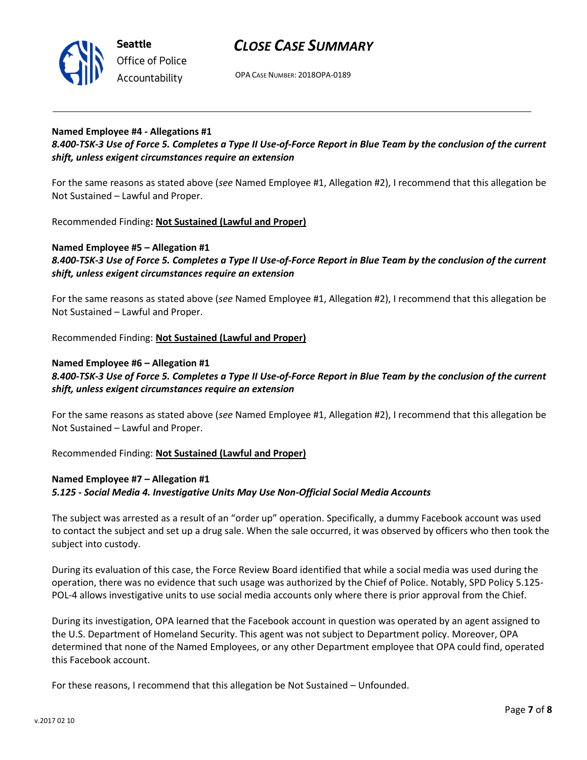



OPA CASE NUMBER: 2018OPA-0189

## **Named Employee #4 - Allegations #1**

*8.400-TSK-3 Use of Force 5. Completes a Type II Use-of-Force Report in Blue Team by the conclusion of the current shift, unless exigent circumstances require an extension*

For the same reasons as stated above (*see* Named Employee #1, Allegation #2), I recommend that this allegation be Not Sustained – Lawful and Proper.

Recommended Finding**: Not Sustained (Lawful and Proper)**

### **Named Employee #5 – Allegation #1** *8.400-TSK-3 Use of Force 5. Completes a Type II Use-of-Force Report in Blue Team by the conclusion of the current shift, unless exigent circumstances require an extension*

For the same reasons as stated above (*see* Named Employee #1, Allegation #2), I recommend that this allegation be Not Sustained – Lawful and Proper.

Recommended Finding: **Not Sustained (Lawful and Proper)**

## **Named Employee #6 – Allegation #1**

## *8.400-TSK-3 Use of Force 5. Completes a Type II Use-of-Force Report in Blue Team by the conclusion of the current shift, unless exigent circumstances require an extension*

For the same reasons as stated above (*see* Named Employee #1, Allegation #2), I recommend that this allegation be Not Sustained – Lawful and Proper.

Recommended Finding: **Not Sustained (Lawful and Proper)**

## **Named Employee #7 – Allegation #1**

### *5.125 - Social Media 4. Investigative Units May Use Non-Official Social Media Accounts*

The subject was arrested as a result of an "order up" operation. Specifically, a dummy Facebook account was used to contact the subject and set up a drug sale. When the sale occurred, it was observed by officers who then took the subject into custody.

During its evaluation of this case, the Force Review Board identified that while a social media was used during the operation, there was no evidence that such usage was authorized by the Chief of Police. Notably, SPD Policy 5.125- POL-4 allows investigative units to use social media accounts only where there is prior approval from the Chief.

During its investigation, OPA learned that the Facebook account in question was operated by an agent assigned to the U.S. Department of Homeland Security. This agent was not subject to Department policy. Moreover, OPA determined that none of the Named Employees, or any other Department employee that OPA could find, operated this Facebook account.

For these reasons, I recommend that this allegation be Not Sustained – Unfounded.